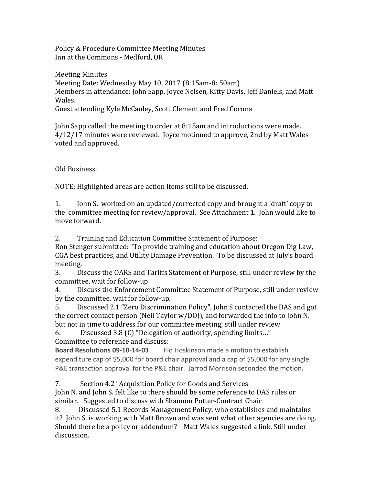Policy & Procedure Committee Meeting Minutes Inn at the Commons - Medford, OR

**Meeting Minutes** Meeting Date: Wednesday May 10, 2017 (8:15am-8: 50am) Members in attendance: John Sapp, Joyce Nelsen, Kitty Davis, Jeff Daniels, and Matt Wales. Guest attending Kyle McCauley, Scott Clement and Fred Corona

John Sapp called the meeting to order at 8:15am and introductions were made.  $4/12/17$  minutes were reviewed. Joyce motioned to approve, 2nd by Matt Wales voted and approved.

Old Business:

NOTE: Highlighted areas are action items still to be discussed.

1. **John S.** worked on an updated/corrected copy and brought a 'draft' copy to the committee meeting for review/approval. See Attachment 1. John would like to move forward.

2. Training and Education Committee Statement of Purpose:

Ron Stenger submitted: "To provide training and education about Oregon Dig Law, CGA best practices, and Utility Damage Prevention. To be discussed at July's board meeting.

3. Discuss the OARS and Tariffs Statement of Purpose, still under review by the committee, wait for follow-up

4. Discuss the Enforcement Committee Statement of Purpose, still under review by the committee, wait for follow-up.

5. Discussed 2.1 "Zero Discrimination Policy", John S contacted the DAS and got the correct contact person (Neil Taylor  $w/DO$ ), and forwarded the info to John N. but not in time to address for our committee meeting; still under review

6. Discussed 3.8 (C) "Delegation of authority, spending limits..."

Committee to reference and discuss:

**Board Resolutions 09-10-14-03** Flo Hoskinson made a motion to establish expenditure cap of \$5,000 for board chair approval and a cap of \$5,000 for any single P&E transaction approval for the P&E chair. Jarrod Morrison seconded the motion.

7. Section 4.2 "Acquisition Policy for Goods and Services

John N. and John S. felt like to there should be some reference to DAS rules or similar. Suggested to discuss with Shannon Potter-Contract Chair

8. Discussed 5.1 Records Management Policy, who establishes and maintains it? John S. is working with Matt Brown and was sent what other agencies are doing. Should there be a policy or addendum? Matt Wales suggested a link. Still under discussion.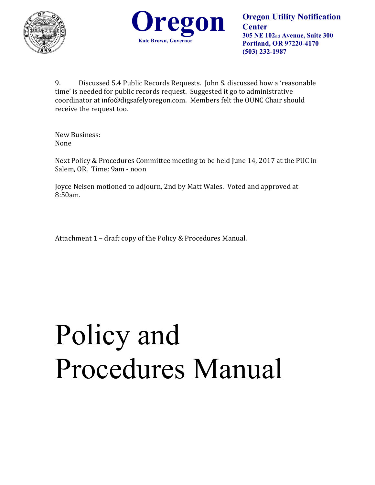



9. Discussed 5.4 Public Records Requests. John S. discussed how a 'reasonable time' is needed for public records request. Suggested it go to administrative coordinator at info@digsafelyoregon.com. Members felt the OUNC Chair should receive the request too.

New Business: None

Next Policy & Procedures Committee meeting to be held June 14, 2017 at the PUC in Salem, OR. Time: 9am - noon

Joyce Nelsen motioned to adjourn, 2nd by Matt Wales. Voted and approved at 8:50am.

Attachment 1 - draft copy of the Policy & Procedures Manual.

# Policy and Procedures Manual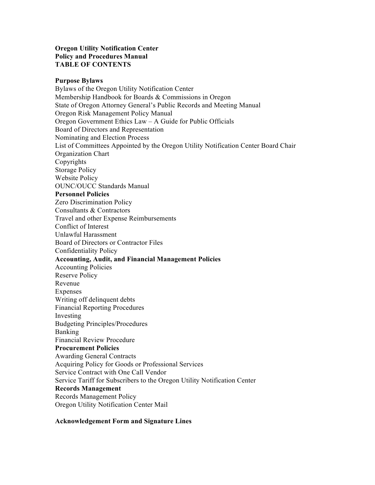## **Oregon Utility Notification Center Policy and Procedures Manual TABLE OF CONTENTS**

#### **Purpose Bylaws**

Bylaws of the Oregon Utility Notification Center Membership Handbook for Boards & Commissions in Oregon State of Oregon Attorney General's Public Records and Meeting Manual Oregon Risk Management Policy Manual Oregon Government Ethics Law – A Guide for Public Officials Board of Directors and Representation Nominating and Election Process List of Committees Appointed by the Oregon Utility Notification Center Board Chair Organization Chart Copyrights Storage Policy Website Policy OUNC/OUCC Standards Manual **Personnel Policies**  Zero Discrimination Policy Consultants & Contractors Travel and other Expense Reimbursements Conflict of Interest Unlawful Harassment Board of Directors or Contractor Files Confidentiality Policy **Accounting, Audit, and Financial Management Policies**  Accounting Policies Reserve Policy Revenue Expenses Writing off delinquent debts Financial Reporting Procedures Investing Budgeting Principles/Procedures Banking Financial Review Procedure **Procurement Policies**  Awarding General Contracts Acquiring Policy for Goods or Professional Services Service Contract with One Call Vendor Service Tariff for Subscribers to the Oregon Utility Notification Center **Records Management**  Records Management Policy Oregon Utility Notification Center Mail

#### **Acknowledgement Form and Signature Lines**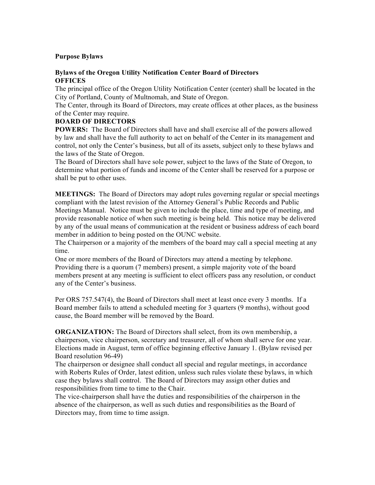### **Purpose Bylaws**

## **Bylaws of the Oregon Utility Notification Center Board of Directors OFFICES**

The principal office of the Oregon Utility Notification Center (center) shall be located in the City of Portland, County of Multnomah, and State of Oregon.

The Center, through its Board of Directors, may create offices at other places, as the business of the Center may require.

# **BOARD OF DIRECTORS**

**POWERS:** The Board of Directors shall have and shall exercise all of the powers allowed by law and shall have the full authority to act on behalf of the Center in its management and control, not only the Center's business, but all of its assets, subject only to these bylaws and the laws of the State of Oregon.

The Board of Directors shall have sole power, subject to the laws of the State of Oregon, to determine what portion of funds and income of the Center shall be reserved for a purpose or shall be put to other uses.

**MEETINGS:** The Board of Directors may adopt rules governing regular or special meetings compliant with the latest revision of the Attorney General's Public Records and Public Meetings Manual. Notice must be given to include the place, time and type of meeting, and provide reasonable notice of when such meeting is being held. This notice may be delivered by any of the usual means of communication at the resident or business address of each board member in addition to being posted on the OUNC website.

The Chairperson or a majority of the members of the board may call a special meeting at any time.

One or more members of the Board of Directors may attend a meeting by telephone. Providing there is a quorum (7 members) present, a simple majority vote of the board members present at any meeting is sufficient to elect officers pass any resolution, or conduct any of the Center's business.

Per ORS 757.547(4), the Board of Directors shall meet at least once every 3 months. If a Board member fails to attend a scheduled meeting for 3 quarters (9 months), without good cause, the Board member will be removed by the Board.

**ORGANIZATION:** The Board of Directors shall select, from its own membership, a chairperson, vice chairperson, secretary and treasurer, all of whom shall serve for one year. Elections made in August, term of office beginning effective January 1. (Bylaw revised per Board resolution 96-49)

The chairperson or designee shall conduct all special and regular meetings, in accordance with Roberts Rules of Order, latest edition, unless such rules violate these bylaws, in which case they bylaws shall control. The Board of Directors may assign other duties and responsibilities from time to time to the Chair.

The vice-chairperson shall have the duties and responsibilities of the chairperson in the absence of the chairperson, as well as such duties and responsibilities as the Board of Directors may, from time to time assign.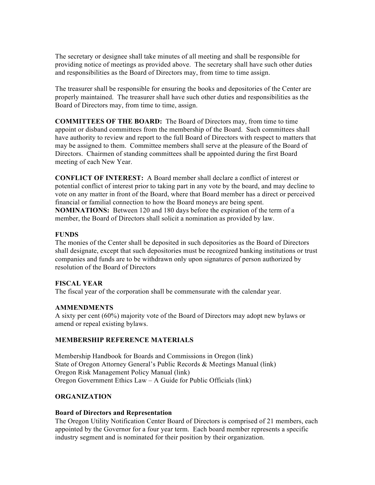The secretary or designee shall take minutes of all meeting and shall be responsible for providing notice of meetings as provided above. The secretary shall have such other duties and responsibilities as the Board of Directors may, from time to time assign.

The treasurer shall be responsible for ensuring the books and depositories of the Center are properly maintained. The treasurer shall have such other duties and responsibilities as the Board of Directors may, from time to time, assign.

**COMMITTEES OF THE BOARD:** The Board of Directors may, from time to time appoint or disband committees from the membership of the Board. Such committees shall have authority to review and report to the full Board of Directors with respect to matters that may be assigned to them. Committee members shall serve at the pleasure of the Board of Directors. Chairmen of standing committees shall be appointed during the first Board meeting of each New Year.

**CONFLICT OF INTEREST:** A Board member shall declare a conflict of interest or potential conflict of interest prior to taking part in any vote by the board, and may decline to vote on any matter in front of the Board, where that Board member has a direct or perceived financial or familial connection to how the Board moneys are being spent. **NOMINATIONS:** Between 120 and 180 days before the expiration of the term of a member, the Board of Directors shall solicit a nomination as provided by law.

## **FUNDS**

The monies of the Center shall be deposited in such depositories as the Board of Directors shall designate, except that such depositories must be recognized banking institutions or trust companies and funds are to be withdrawn only upon signatures of person authorized by resolution of the Board of Directors

## **FISCAL YEAR**

The fiscal year of the corporation shall be commensurate with the calendar year.

## **AMMENDMENTS**

A sixty per cent (60%) majority vote of the Board of Directors may adopt new bylaws or amend or repeal existing bylaws.

## **MEMBERSHIP REFERENCE MATERIALS**

Membership Handbook for Boards and Commissions in Oregon (link) State of Oregon Attorney General's Public Records & Meetings Manual (link) Oregon Risk Management Policy Manual (link) Oregon Government Ethics Law – A Guide for Public Officials (link)

## **ORGANIZATION**

#### **Board of Directors and Representation**

The Oregon Utility Notification Center Board of Directors is comprised of 21 members, each appointed by the Governor for a four year term. Each board member represents a specific industry segment and is nominated for their position by their organization.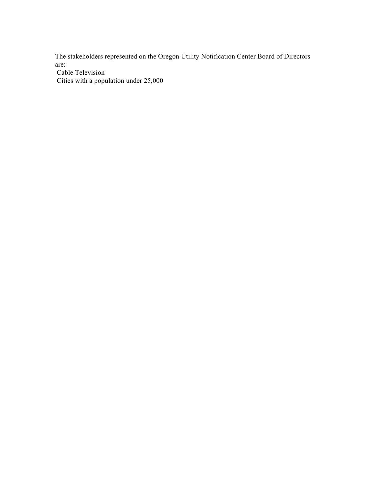The stakeholders represented on the Oregon Utility Notification Center Board of Directors are:

Cable Television

Cities with a population under 25,000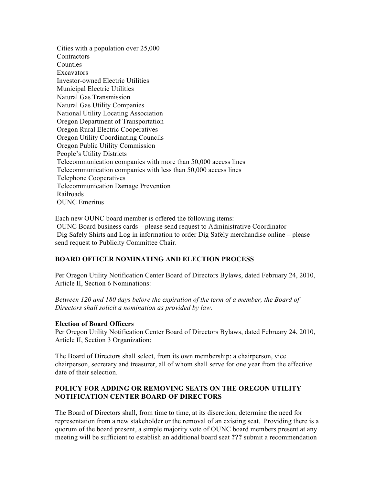Cities with a population over 25,000 **Contractors** Counties Excavators Investor-owned Electric Utilities Municipal Electric Utilities Natural Gas Transmission Natural Gas Utility Companies National Utility Locating Association Oregon Department of Transportation Oregon Rural Electric Cooperatives Oregon Utility Coordinating Councils Oregon Public Utility Commission People's Utility Districts Telecommunication companies with more than 50,000 access lines Telecommunication companies with less than 50,000 access lines Telephone Cooperatives Telecommunication Damage Prevention Railroads OUNC Emeritus

Each new OUNC board member is offered the following items: OUNC Board business cards – please send request to Administrative Coordinator Dig Safely Shirts and Log in information to order Dig Safely merchandise online – please send request to Publicity Committee Chair.

## **BOARD OFFICER NOMINATING AND ELECTION PROCESS**

Per Oregon Utility Notification Center Board of Directors Bylaws, dated February 24, 2010, Article II, Section 6 Nominations:

*Between 120 and 180 days before the expiration of the term of a member, the Board of Directors shall solicit a nomination as provided by law.*

#### **Election of Board Officers**

Per Oregon Utility Notification Center Board of Directors Bylaws, dated February 24, 2010, Article II, Section 3 Organization:

The Board of Directors shall select, from its own membership: a chairperson, vice chairperson, secretary and treasurer, all of whom shall serve for one year from the effective date of their selection.

### **POLICY FOR ADDING OR REMOVING SEATS ON THE OREGON UTILITY NOTIFICATION CENTER BOARD OF DIRECTORS**

The Board of Directors shall, from time to time, at its discretion, determine the need for representation from a new stakeholder or the removal of an existing seat. Providing there is a quorum of the board present, a simple majority vote of OUNC board members present at any meeting will be sufficient to establish an additional board seat **???** submit a recommendation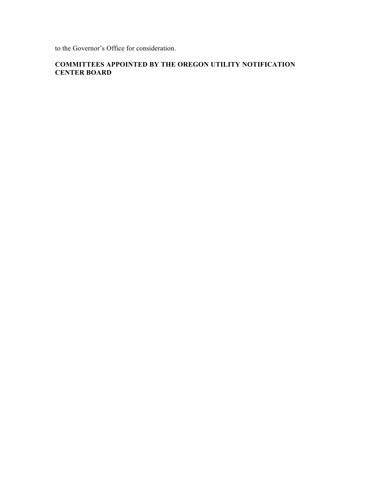to the Governor's Office for consideration.

# **COMMITTEES APPOINTED BY THE OREGON UTILITY NOTIFICATION CENTER BOARD**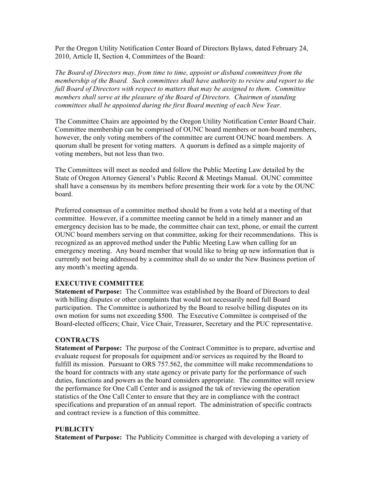Per the Oregon Utility Notification Center Board of Directors Bylaws, dated February 24, 2010, Article II, Section 4, Committees of the Board:

*The Board of Directors may, from time to time, appoint or disband committees from the membership of the Board. Such committees shall have authority to review and report to the full Board of Directors with respect to matters that may be assigned to them. Committee members shall serve at the pleasure of the Board of Directors. Chairmen of standing committees shall be appointed during the first Board meeting of each New Year.*

The Committee Chairs are appointed by the Oregon Utility Notification Center Board Chair. Committee membership can be comprised of OUNC board members or non-board members, however, the only voting members of the committee are current OUNC board members. A quorum shall be present for voting matters. A quorum is defined as a simple majority of voting members, but not less than two.

The Committees will meet as needed and follow the Public Meeting Law detailed by the State of Oregon Attorney General's Public Record & Meetings Manual. OUNC committee shall have a consensus by its members before presenting their work for a vote by the OUNC board.

Preferred consensus of a committee method should be from a vote held at a meeting of that committee. However, if a committee meeting cannot be held in a timely manner and an emergency decision has to be made, the committee chair can text, phone, or email the current OUNC board members serving on that committee, asking for their recommendations. This is recognized as an approved method under the Public Meeting Law when calling for an emergency meeting. Any board member that would like to bring up new information that is currently not being addressed by a committee shall do so under the New Business portion of any month's meeting agenda.

#### **EXECUTIVE COMMITTEE**

**Statement of Purpose:** The Committee was established by the Board of Directors to deal with billing disputes or other complaints that would not necessarily need full Board participation. The Committee is authorized by the Board to resolve billing disputes on its own motion for sums not exceeding \$500. The Executive Committee is comprised of the Board-elected officers; Chair, Vice Chair, Treasurer, Secretary and the PUC representative.

#### **CONTRACTS**

**Statement of Purpose:** The purpose of the Contract Committee is to prepare, advertise and evaluate request for proposals for equipment and/or services as required by the Board to fulfill its mission. Pursuant to ORS 757.562, the committee will make recommendations to the board for contracts with any state agency or private party for the performance of such duties, functions and powers as the board considers appropriate. The committee will review the performance for One Call Center and is assigned the tak of reviewing the operation statistics of the One Call Center to ensure that they are in compliance with the contract specifications and preparation of an annual report. The administration of specific contracts and contract review is a function of this committee.

## **PUBLICITY**

**Statement of Purpose:** The Publicity Committee is charged with developing a variety of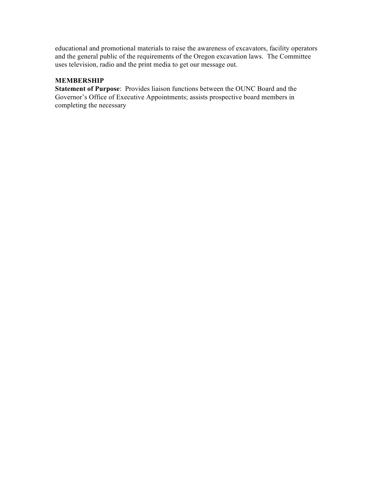educational and promotional materials to raise the awareness of excavators, facility operators and the general public of the requirements of the Oregon excavation laws. The Committee uses television, radio and the print media to get our message out.

# **MEMBERSHIP**

**Statement of Purpose**: Provides liaison functions between the OUNC Board and the Governor's Office of Executive Appointments; assists prospective board members in completing the necessary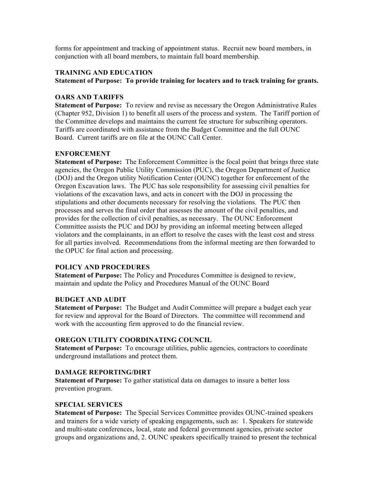forms for appointment and tracking of appointment status. Recruit new board members, in conjunction with all board members, to maintain full board membership.

## **TRAINING AND EDUCATION**

**Statement of Purpose: To provide training for locaters and to track training for grants.** 

## **OARS AND TARIFFS**

**Statement of Purpose:** To review and revise as necessary the Oregon Administrative Rules (Chapter 952, Division 1) to benefit all users of the process and system. The Tariff portion of the Committee develops and maintains the current fee structure for subscribing operators. Tariffs are coordinated with assistance from the Budget Committee and the full OUNC Board. Current tariffs are on file at the OUNC Call Center.

#### **ENFORCEMENT**

**Statement of Purpose:** The Enforcement Committee is the focal point that brings three state agencies, the Oregon Public Utility Commission (PUC), the Oregon Department of Justice (DOJ) and the Oregon utility Notification Center (OUNC) together for enforcement of the Oregon Excavation laws. The PUC has sole responsibility for assessing civil penalties for violations of the excavation laws, and acts in concert with the DOJ in processing the stipulations and other documents necessary for resolving the violations. The PUC then processes and serves the final order that assesses the amount of the civil penalties, and provides for the collection of civil penalties, as necessary. The OUNC Enforcement Committee assists the PUC and DOJ by providing an informal meeting between alleged violators and the complainants, in an effort to resolve the cases with the least cost and stress for all parties involved. Recommendations from the informal meeting are then forwarded to the OPUC for final action and processing.

#### **POLICY AND PROCEDURES**

**Statement of Purpose:** The Policy and Procedures Committee is designed to review, maintain and update the Policy and Procedures Manual of the OUNC Board

#### **BUDGET AND AUDIT**

**Statement of Purpose:** The Budget and Audit Committee will prepare a budget each year for review and approval for the Board of Directors. The committee will recommend and work with the accounting firm approved to do the financial review.

## **OREGON UTILITY COORDINATING COUNCIL**

**Statement of Purpose:** To encourage utilities, public agencies, contractors to coordinate underground installations and protect them.

#### **DAMAGE REPORTING/DIRT**

**Statement of Purpose:** To gather statistical data on damages to insure a better loss prevention program.

#### **SPECIAL SERVICES**

**Statement of Purpose:** The Special Services Committee provides OUNC-trained speakers and trainers for a wide variety of speaking engagements, such as: 1. Speakers for statewide and multi-state conferences, local, state and federal government agencies, private sector groups and organizations and, 2. OUNC speakers specifically trained to present the technical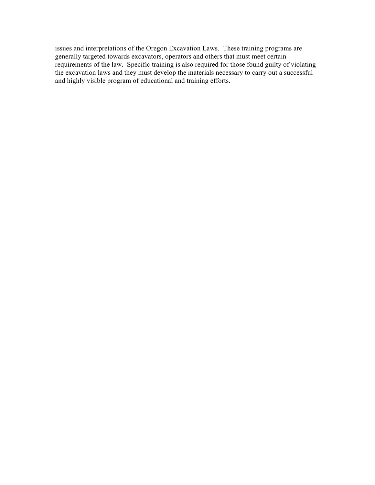issues and interpretations of the Oregon Excavation Laws. These training programs are generally targeted towards excavators, operators and others that must meet certain requirements of the law. Specific training is also required for those found guilty of violating the excavation laws and they must develop the materials necessary to carry out a successful and highly visible program of educational and training efforts.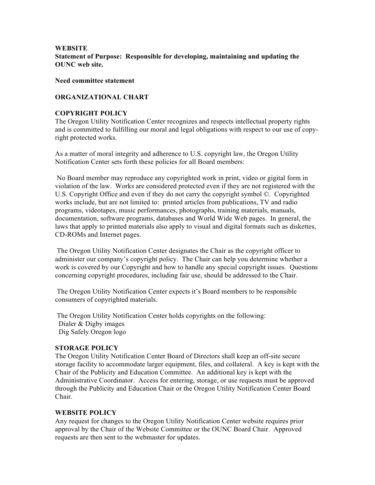## **WEBSITE Statement of Purpose: Responsible for developing, maintaining and updating the OUNC web site.**

**Need committee statement** 

## **ORGANIZATIONAL CHART**

### **COPYRIGHT POLICY**

The Oregon Utility Notification Center recognizes and respects intellectual property rights and is committed to fulfilling our moral and legal obligations with respect to our use of copyright protected works.

As a matter of moral integrity and adherence to U.S. copyright law, the Oregon Utility Notification Center sets forth these policies for all Board members:

No Board member may reproduce any copyrighted work in print, video or gigital form in violation of the law. Works are considered protected even if they are not registered with the U.S. Copyright Office and even if they do not carry the copyright symbol ©. Copyrighted works include, but are not limited to: printed articles from publications, TV and radio programs, videotapes, music performances, photographs, training materials, manuals, documentation, software programs, databases and World Wide Web pages. In general, the laws that apply to printed materials also apply to visual and digital formats such as diskettes, CD-ROMs and Internet pages.

The Oregon Utility Notification Center designates the Chair as the copyright officer to administer our company's copyright policy. The Chair can help you determine whether a work is covered by our Copyright and how to handle any special copyright issues. Questions concerning copyright procedures, including fair use, should be addressed to the Chair.

The Oregon Utility Notification Center expects it's Board members to be responsible consumers of copyrighted materials.

The Oregon Utility Notification Center holds copyrights on the following: Dialer & Digby images Dig Safely Oregon logo

#### **STORAGE POLICY**

The Oregon Utility Notification Center Board of Directors shall keep an off-site secure storage facility to accommodate larger equipment, files, and collateral. A key is kept with the Chair of the Publicity and Education Committee. An additional key is kept with the Administrative Coordinator. Access for entering, storage, or use requests must be approved through the Publicity and Education Chair or the Oregon Utility Notification Center Board Chair.

#### **WEBSITE POLICY**

Any request for changes to the Oregon Utility Notification Center website requires prior approval by the Chair of the Website Committee or the OUNC Board Chair. Approved requests are then sent to the webmaster for updates.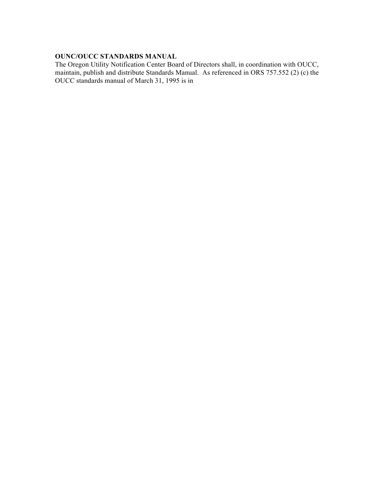# **OUNC/OUCC STANDARDS MANUAL**

The Oregon Utility Notification Center Board of Directors shall, in coordination with OUCC, maintain, publish and distribute Standards Manual. As referenced in ORS 757.552 (2) (c) the OUCC standards manual of March 31, 1995 is in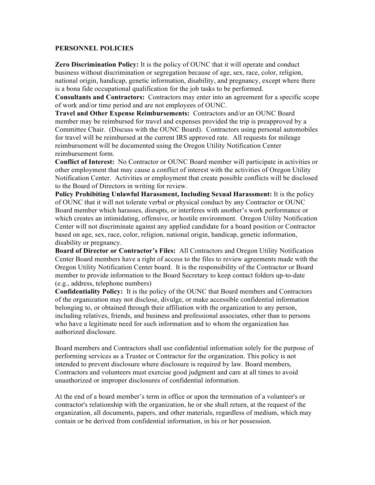#### **PERSONNEL POLICIES**

**Zero Discrimination Policy:** It is the policy of OUNC that it will operate and conduct business without discrimination or segregation because of age, sex, race, color, religion, national origin, handicap, genetic information, disability, and pregnancy, except where there is a bona fide occupational qualification for the job tasks to be performed.

**Consultants and Contractors:** Contractors may enter into an agreement for a specific scope of work and/or time period and are not employees of OUNC.

**Travel and Other Expense Reimbursements:** Contractors and/or an OUNC Board member may be reimbursed for travel and expenses provided the trip is preapproved by a Committee Chair. (Discuss with the OUNC Board). Contractors using personal automobiles for travel will be reimbursed at the current IRS approved rate. All requests for mileage reimbursement will be documented using the Oregon Utility Notification Center reimbursement form.

**Conflict of Interest:** No Contractor or OUNC Board member will participate in activities or other employment that may cause a conflict of interest with the activities of Oregon Utility Notification Center. Activities or employment that create possible conflicts will be disclosed to the Board of Directors in writing for review.

**Policy Prohibiting Unlawful Harassment, Including Sexual Harassment:** It is the policy of OUNC that it will not tolerate verbal or physical conduct by any Contractor or OUNC Board member which harasses, disrupts, or interferes with another's work performance or which creates an intimidating, offensive, or hostile environment. Oregon Utility Notification Center will not discriminate against any applied candidate for a board position or Contractor based on age, sex, race, color, religion, national origin, handicap, genetic information, disability or pregnancy.

**Board of Director or Contractor's Files:** All Contractors and Oregon Utility Notification Center Board members have a right of access to the files to review agreements made with the Oregon Utility Notification Center board. It is the responsibility of the Contractor or Board member to provide information to the Board Secretary to keep contact folders up-to-date (e.g., address, telephone numbers)

**Confidentiality Policy:** It is the policy of the OUNC that Board members and Contractors of the organization may not disclose, divulge, or make accessible confidential information belonging to, or obtained through their affiliation with the organization to any person, including relatives, friends, and business and professional associates, other than to persons who have a legitimate need for such information and to whom the organization has authorized disclosure.

Board members and Contractors shall use confidential information solely for the purpose of performing services as a Trustee or Contractor for the organization. This policy is not intended to prevent disclosure where disclosure is required by law. Board members, Contractors and volunteers must exercise good judgment and care at all times to avoid unauthorized or improper disclosures of confidential information.

At the end of a board member's term in office or upon the termination of a volunteer's or contractor's relationship with the organization, he or she shall return, at the request of the organization, all documents, papers, and other materials, regardless of medium, which may contain or be derived from confidential information, in his or her possession.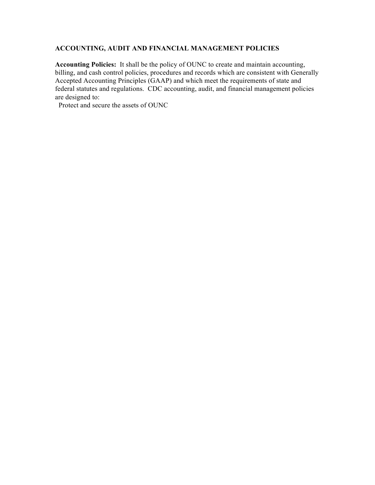## **ACCOUNTING, AUDIT AND FINANCIAL MANAGEMENT POLICIES**

**Accounting Policies:** It shall be the policy of OUNC to create and maintain accounting, billing, and cash control policies, procedures and records which are consistent with Generally Accepted Accounting Principles (GAAP) and which meet the requirements of state and federal statutes and regulations. CDC accounting, audit, and financial management policies are designed to:

Protect and secure the assets of OUNC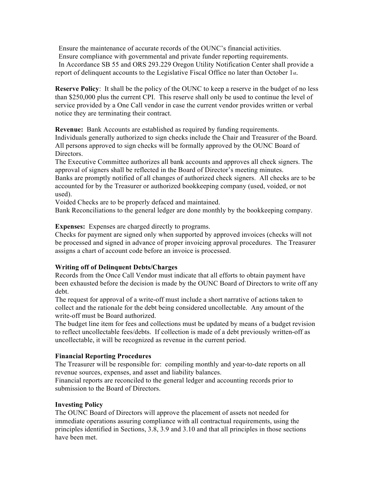Ensure the maintenance of accurate records of the OUNC's financial activities. Ensure compliance with governmental and private funder reporting requirements. In Accordance SB 55 and ORS 293.229 Oregon Utility Notification Center shall provide a report of delinquent accounts to the Legislative Fiscal Office no later than October 1st.

**Reserve Policy**: It shall be the policy of the OUNC to keep a reserve in the budget of no less than \$250,000 plus the current CPI. This reserve shall only be used to continue the level of service provided by a One Call vendor in case the current vendor provides written or verbal notice they are terminating their contract.

**Revenue:** Bank Accounts are established as required by funding requirements. Individuals generally authorized to sign checks include the Chair and Treasurer of the Board. All persons approved to sign checks will be formally approved by the OUNC Board of Directors.

The Executive Committee authorizes all bank accounts and approves all check signers. The approval of signers shall be reflected in the Board of Director's meeting minutes. Banks are promptly notified of all changes of authorized check signers. All checks are to be accounted for by the Treasurer or authorized bookkeeping company (used, voided, or not used).

Voided Checks are to be properly defaced and maintained.

Bank Reconciliations to the general ledger are done monthly by the bookkeeping company.

**Expenses:** Expenses are charged directly to programs.

Checks for payment are signed only when supported by approved invoices (checks will not be processed and signed in advance of proper invoicing approval procedures. The Treasurer assigns a chart of account code before an invoice is processed.

#### **Writing off of Delinquent Debts/Charges**

Records from the Once Call Vendor must indicate that all efforts to obtain payment have been exhausted before the decision is made by the OUNC Board of Directors to write off any debt.

The request for approval of a write-off must include a short narrative of actions taken to collect and the rationale for the debt being considered uncollectable. Any amount of the write-off must be Board authorized.

The budget line item for fees and collections must be updated by means of a budget revision to reflect uncollectable fees/debts. If collection is made of a debt previously written-off as uncollectable, it will be recognized as revenue in the current period.

#### **Financial Reporting Procedures**

The Treasurer will be responsible for: compiling monthly and year-to-date reports on all revenue sources, expenses, and asset and liability balances.

Financial reports are reconciled to the general ledger and accounting records prior to submission to the Board of Directors.

#### **Investing Policy**

The OUNC Board of Directors will approve the placement of assets not needed for immediate operations assuring compliance with all contractual requirements, using the principles identified in Sections, 3.8, 3.9 and 3.10 and that all principles in those sections have been met.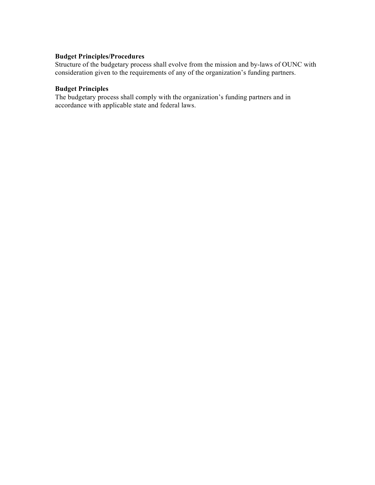# **Budget Principles/Procedures**

Structure of the budgetary process shall evolve from the mission and by-laws of OUNC with consideration given to the requirements of any of the organization's funding partners.

# **Budget Principles**

The budgetary process shall comply with the organization's funding partners and in accordance with applicable state and federal laws.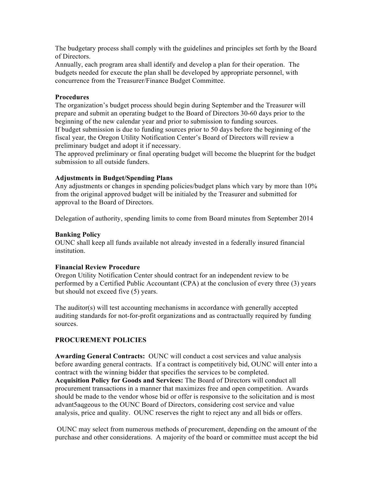The budgetary process shall comply with the guidelines and principles set forth by the Board of Directors.

Annually, each program area shall identify and develop a plan for their operation. The budgets needed for execute the plan shall be developed by appropriate personnel, with concurrence from the Treasurer/Finance Budget Committee.

## **Procedures**

The organization's budget process should begin during September and the Treasurer will prepare and submit an operating budget to the Board of Directors 30-60 days prior to the beginning of the new calendar year and prior to submission to funding sources. If budget submission is due to funding sources prior to 50 days before the beginning of the fiscal year, the Oregon Utility Notification Center's Board of Directors will review a preliminary budget and adopt it if necessary.

The approved preliminary or final operating budget will become the blueprint for the budget submission to all outside funders.

## **Adjustments in Budget/Spending Plans**

Any adjustments or changes in spending policies/budget plans which vary by more than 10% from the original approved budget will be initialed by the Treasurer and submitted for approval to the Board of Directors.

Delegation of authority, spending limits to come from Board minutes from September 2014

## **Banking Policy**

OUNC shall keep all funds available not already invested in a federally insured financial institution.

#### **Financial Review Procedure**

Oregon Utility Notification Center should contract for an independent review to be performed by a Certified Public Accountant (CPA) at the conclusion of every three (3) years but should not exceed five (5) years.

The auditor(s) will test accounting mechanisms in accordance with generally accepted auditing standards for not-for-profit organizations and as contractually required by funding sources.

## **PROCUREMENT POLICIES**

**Awarding General Contracts:** OUNC will conduct a cost services and value analysis before awarding general contracts. If a contract is competitively bid, OUNC will enter into a contract with the winning bidder that specifies the services to be completed. **Acquisition Policy for Goods and Services:** The Board of Directors will conduct all procurement transactions in a manner that maximizes free and open competition. Awards should be made to the vendor whose bid or offer is responsive to the solicitation and is most advant5aqgeous to the OUNC Board of Directors, considering cost service and value analysis, price and quality. OUNC reserves the right to reject any and all bids or offers.

OUNC may select from numerous methods of procurement, depending on the amount of the purchase and other considerations. A majority of the board or committee must accept the bid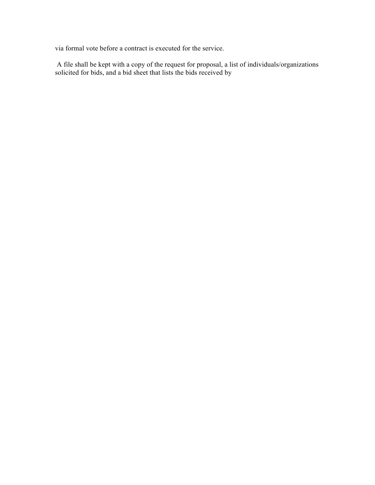via formal vote before a contract is executed for the service.

A file shall be kept with a copy of the request for proposal, a list of individuals/organizations solicited for bids, and a bid sheet that lists the bids received by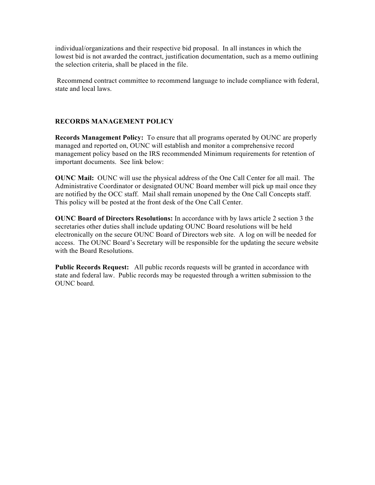individual/organizations and their respective bid proposal. In all instances in which the lowest bid is not awarded the contract, justification documentation, such as a memo outlining the selection criteria, shall be placed in the file.

Recommend contract committee to recommend language to include compliance with federal, state and local laws.

## **RECORDS MANAGEMENT POLICY**

**Records Management Policy:** To ensure that all programs operated by OUNC are properly managed and reported on, OUNC will establish and monitor a comprehensive record management policy based on the IRS recommended Minimum requirements for retention of important documents. See link below:

**OUNC Mail:** OUNC will use the physical address of the One Call Center for all mail. The Administrative Coordinator or designated OUNC Board member will pick up mail once they are notified by the OCC staff. Mail shall remain unopened by the One Call Concepts staff. This policy will be posted at the front desk of the One Call Center.

**OUNC Board of Directors Resolutions:** In accordance with by laws article 2 section 3 the secretaries other duties shall include updating OUNC Board resolutions will be held electronically on the secure OUNC Board of Directors web site. A log on will be needed for access. The OUNC Board's Secretary will be responsible for the updating the secure website with the Board Resolutions.

**Public Records Request:** All public records requests will be granted in accordance with state and federal law. Public records may be requested through a written submission to the OUNC board.